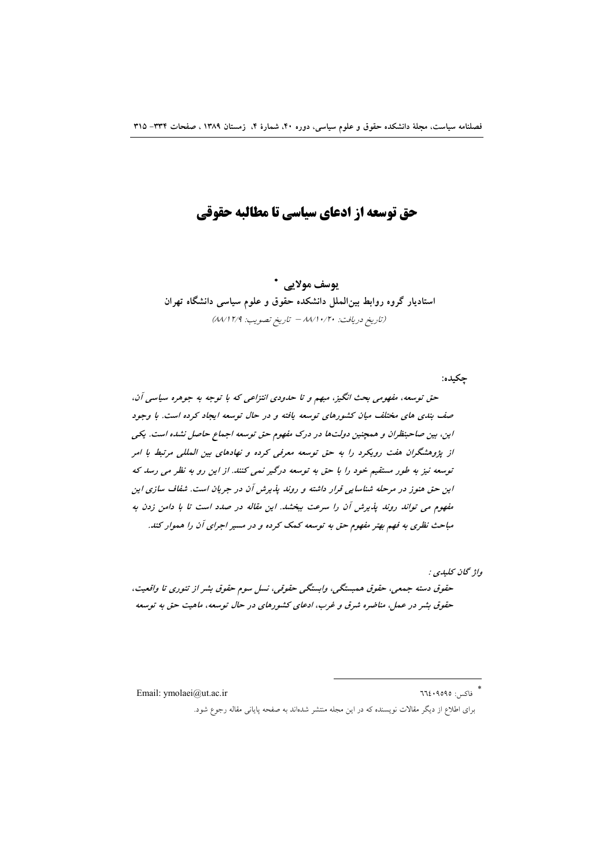# حق توسعه از ادعای سیاسی تا مطالبه حقوقی

يوسف مولايي \* استادیار گروه روابط بین الملل دانشکده حقوق و علوم سیاسی دانشگاه تهران (تاريخ دريافت: ١٠/١٠/١٠/٣٠ - تاريخ تصويب: ٨٨/١٢/٩)

چکیده:

حق توسعه، مفهومی بحث انگیز، مبهم و تا حدودی انتزاعی که با توجه به جوهره سیاسی آن، صف بندی های مختلف میان کشورهای توسعه یافته و در حال توسعه ایجاد کرده است. با وجود این، بین صاحبنظران و همچنین دولتها در درک مفهوم حق توسعه اجماع حاصل نشده است. یکی از پژوهشگران هفت رویکرد را به حق توسعه معرفی کرده و نهادهای بین المللی مرتبط با امر توسعه نیز به طور مستقیم خود را با حق به توسعه درگیر نمی کنند. از این رو به نظر می رسد که این حق هنوز در مرحله شناسایی قرار داشته و روند پذیرش آن در جریان است. شفاف سازی این مفهوم می تواند روند پذیرش آن را سرعت ببخشد. این مقاله در صدد است تا با دامن زدن به مباحث نظری به فهم بهتر مفهوم حق به توسعه کمک کرده و در مسیر اجرای آن را هموار کند.

واژ گان كىلىدى : حقوق دسته جمعي، حقوق همبستگي، وابستگي حقوقي، نسل سوم حقوق بشر از تئوري تا واقعيت، حقوق بشر در عمل، مناضره شرق و غرب، ادعای کشورهای در حال توسعه، ماهیت حق به توسعه

Email: ymolaei@ut.ac.ir

\* فاكس: ٩٥٩٥: ٦٦٤

برای اطلاع از دیگر مقالات نویسنده که در این مجله منتشر شدهاند به صفحه پایانی مقاله رجوع شود.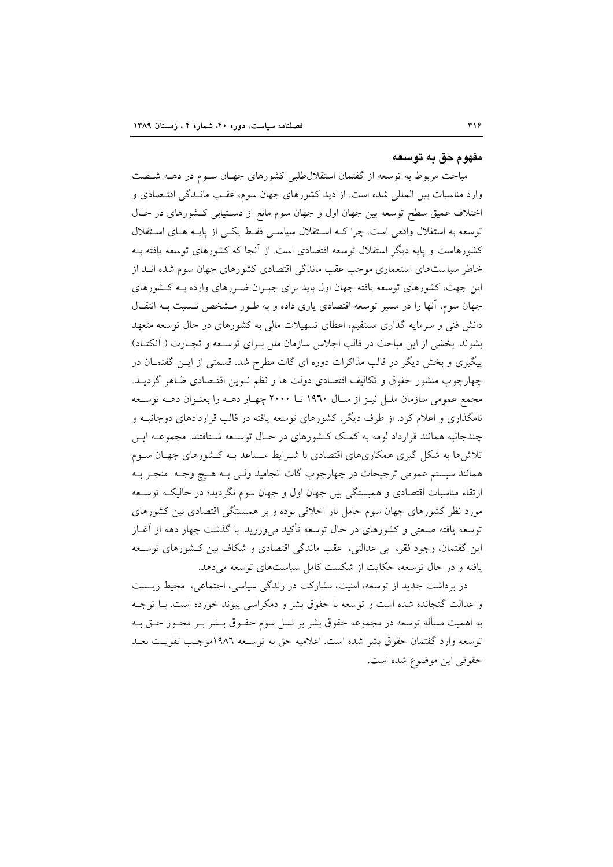#### مفهوم حق په توسعه

مباحث مربوط به توسعه از گفتمان استقلال طلبی کشورهای جهـان سـوم در دهــه شــصت وارد مناسبات بین المللی شده است. از دید کشورهای جهان سوم، عقـب مانــدگی اقتــصادی و اختلاف عمیق سطح توسعه بین جهان اول و جهان سوم مانع از دسـتیابی کـشورهای در حـال توسعه به استقلال واقعی است. چرا کـه اسـتقلال سیاسـی فقـط یکـی از پایـه هـای اسـتقلال کشورهاست و پایه دیگر استقلال توسعه اقتصادی است. از آنجا که کشورهای توسعه یافته بـه خاطر سیاستهای استعماری موجب عقب ماندگی اقتصادی کشورهای جهان سوم شده انــد از این جهت، کشورهای توسعه یافته جهان اول باید برای جبـران ضـررهای وارده بـه کـشورهای جهان سوم، آنها را در مسیر توسعه اقتصادی یاری داده و به طـور مـشخص نـسبت بـه انتقـال دانش فنی و سرمایه گذاری مستقیم، اعطای تسهیلات مالی به کشورهای در حال توسعه متعهد بشوند. بخشی از این مباحث در قالب اجلاس سازمان ملل بـرای توسـعه و تجـارت ( آنکتـاد) پیگیری و بخش دیگر در قالب مذاکرات دوره ای گات مطرح شد. قسمتی از ایــن گفتمــان در چهارچوب منشور حقوق و تکالیف اقتصادی دولت ها و نظم نـوین اقتـصادی ظـاهر گردیــد. مجمع عمومی سازمان ملـل نیـز از سـال ١٩٦٠ تــا ٢٠٠٠ چهـار دهــه را بعنـوان دهــه توســعه نامگذاری و اعلام کرد. از طرف دیگر، کشورهای توسعه یافته در قالب قراردادهای دوجانبـه و چندجانبه همانند قرارداد لومه به کمک کشورهای در حـال توسـعه شـتافتند. مجموعـه ايـن تلاشها به شکل گیری همکاریهای اقتصادی با شـرایط مـساعد بـه کـشورهای جهـان سـوم همانند سیستم عمومی ترجیحات در چهارچوب گات انجامید ولـی بـه هـیچ وجـه منجـر بـه ارتقاء مناسبات اقتصادی و همبستگی بین جهان اول و جهان سوم نگردید؛ در حالیکه توسـعه مورد نظر کشورهای جهان سوم حامل بار اخلاقی بوده و بر همبستگی اقتصادی بین کشورهای توسعه یافته صنعتی و کشورهای در حال توسعه تأکید میٖورزید. با گذشت چهار دهه از آغــاز این گفتمان، وجود فقر، بی عدالتی، عقب ماندگی اقتصادی و شکاف بین کـشورهای توسـعه یافته و در حال توسعه، حکایت از شکست کامل سیاستهای توسعه میدهد.

در برداشت جدید از توسعه، امنیت، مشارکت در زندگی سیاسی، اجتماعی، محیط زیست و عدالت گنجانده شده است و توسعه با حقوق بشر و دمکراسی پیوند خورده است. بـا توجـه به اهمیت مسأله توسعه در مجموعه حقوق بشر بر نسل سوم حقــوق بــشر بــر محــور حــق بــه توسعه وارد گفتمان حقوق بشر شده است. اعلامیه حق به توسـعه ١٩٨٦موجـب تقویـت بعـد حقوقي اين موضوع شده است.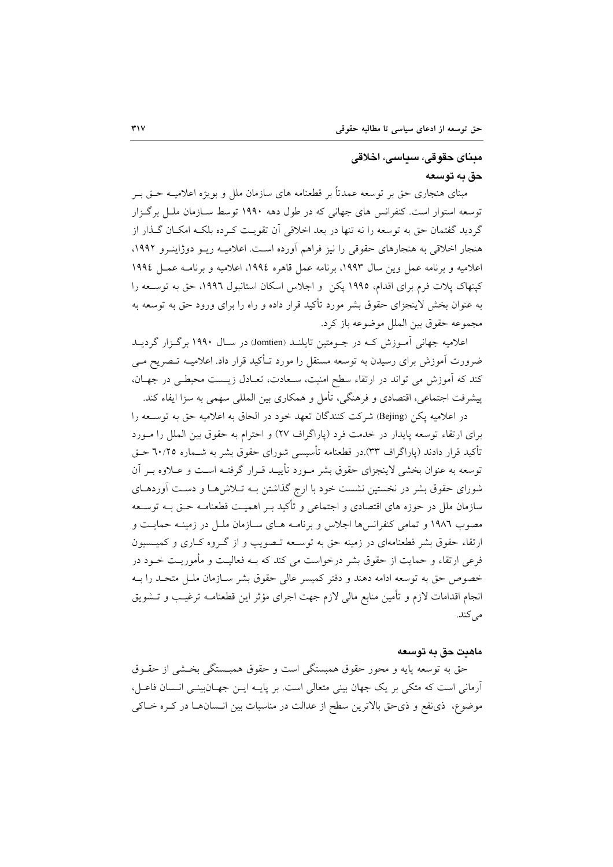## مىناي چقوقى، سىاسى، اخلاقى حق په ټوسعه

مبنای هنجاری حق بر توسعه عمدتاً بر قطعنامه های سازمان ملل و بویژه اعلامیــه حــق بــر توسعه استوار است. کنفرانس های جهانی که در طول دهه ۱۹۹۰ توسط سـازمان ملـل برگـزار گردید گفتمان حق به توسعه را نه تنها در بعد اخلاقی اَن تقویـت کـرده بلکـه امکـان گــذار از هنجار اخلاقی به هنجارهای حقوقی را نیز فراهم آورده است. اعلامیـه ریــو دوژاینــرو ۱۹۹۲، اعلاميه و برنامه عمل وين سال ١٩٩٣، برنامه عمل قاهره ١٩٩٤، اعلاميه و برنامـه عمـل ١٩٩٤ کپنهاک پلات فرم برای اقدام، ۱۹۹۵ پکن و اجلاس اسکان استانبول ۱۹۹٦، حق به توسـعه را به عنوان بخش لاینجزای حقوق بشر مورد تأکید قرار داده و راه را برای ورود حق به توسعه به مجموعه حقوق بين الملل موضوعه باز كرد.

اعلامیه جهانی آمـوزش کـه در جـومتین تایلنــد (Jomtien) در ســال ۱۹۹۰ برگـزار گردیــد ضرورت آموزش برای رسیدن به توسعه مستقل را مورد تـأکید قرار داد. اعلامیــه تــصریح مــی کند که آموزش می تواند در ارتقاء سطح امنیت، سـعادت، تعـادل زیـست محیطـی در جهـان، پیشرفت اجتماعی، اقتصادی و فرهنگی، تأمل و همکاری بین المللی سهمی به سزا ایفاء کند.

در اعلامیه یکن (Bejing) شرکت کنندگان تعهد خود در الحاق به اعلامیه حق به توسـعه را برای ارتقاء توسعه پایدار در خدمت فرد (پاراگراف ۲۷) و احترام به حقوق بین الملل را مبورد تأکید قرار دادند (پاراگراف ۳۳).در قطعنامه تأسیسی شورای حقوق بشر به شــماره ۲۰/۲۵ حـق توسعه به عنوان بخشی لاینجزای حقوق بشر مـورد تأییـد قـرار گرفتـه اسـت و عــلاوه بـر آن شورای حقوق بشر در نخستین نشست خود با ارج گذاشتن بـه تـلاش۵هـا و دسـت آوردهـای سازمان ملل در حوزه های اقتصادی و اجتماعی و تأکید بــر اهمیــت قطعنامــه حــق بــه توســعه مصوب ۱۹۸۲ و تمامی کنفرانس ها اجلاس و برنامـه هـای سـازمان ملـل در زمینـه حمایـت و ارتقاء حقوق بشر قطعنامهای در زمینه حق به توسـعه تـصویب و از گـروه کـاری و کمیـسیون فرعی ارتقاء و حمایت از حقوق بشر درخواست می کند که بــه فعالیــت و مأموریــت خــود در خصوص حق به توسعه ادامه دهند و دفتر كميسر عالى حقوق بشر سـازمان ملـل متحـد را بـه انجام اقدامات لازم و تأمين منابع مالي لازم جهت اجراي مؤثر اين قطعنامـه ترغيـب و تــشويق مے کند.

#### ماهيت حق به توسعه

حق به توسعه پایه و محور حقوق همبستگی است و حقوق همبـستگی بخـشی از حقـوق آرمانی است که متکی بر یک جهان بینی متعالی است. بر پایـه ایـن جهـانبینـی انـسان فاعـل، موضوع، ذي نفع و ذي حق بالاترين سطح از عدالت در مناسبات بين انـسانهـا در كـره خـاكى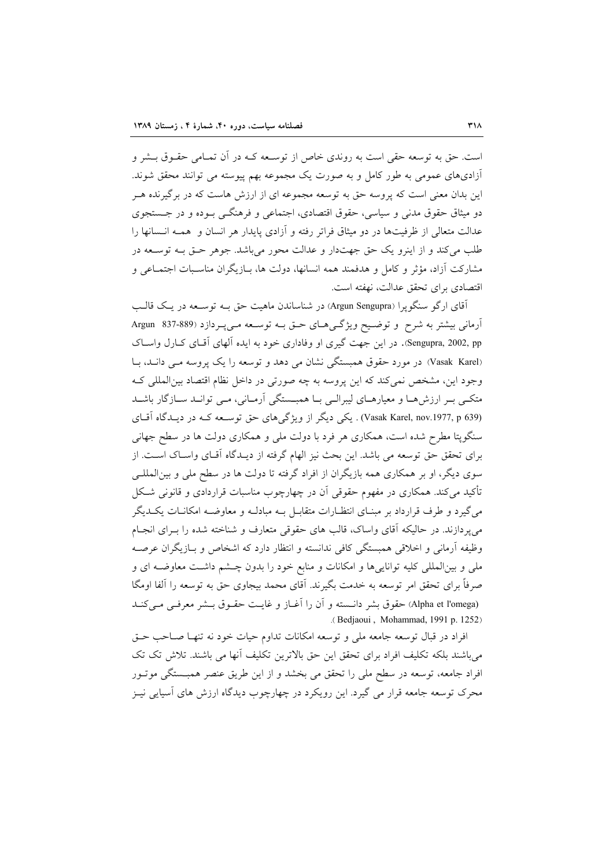است. حق به توسعه حقی است به روندی خاص از توسـعه کـه در آن تمـامی حقـوق بـشر و آزادیهای عمومی به طور کامل و به صورت یک مجموعه بهم پیوسته می توانند محقق شوند. این بدان معنی است که پروسه حق به توسعه مجموعه ای از ارزش هاست که در برگیرنده هـر دو میثاق حقوق مدنی و سیاسی، حقوق اقتصادی، اجتماعی و فرهنگــی بــوده و در جــستجوی عدالت متعالی از ظرفیتها در دو میثاق فراتر رفته و آزادی پایدار هر انسان و همـه انـسانها را طلب می کند و از اینرو یک حق جهتدار و عدالت محور می باشد. جوهر حتی بـه توسـعه در مشاركت آزاد، مؤثر و كامل و هدفمند همه انسانها، دولت ها، بــازيگران مناسـبات اجتمــاعي و اقتصادي براي تحقق عدالت، نهفته است.

آقای ارگو سنگویرا (Argun Sengupra) در شناساندن ماهیت حق بـه توسـعه در یـک قالـب آرماني بيشتر به شرح و توضيح ويژگيهاي حـق بـه توسـعه مـي پـردازد (89-837 Argun Sengupra, 2002, pp. در این جهت گیری او وفاداری خود به ایده آلهای آقای کـارل واسـاک (Vasak Karel) در مورد حقوق همبستگی نشان می دهد و توسعه را یک پروسه می دانـد، بـا وجود این، مشخص نمیکند که این پروسه به چه صورتی در داخل نظام اقتصاد بین المللی ک متکبی بـر ارزشهـا و معیارهـای لیبرالـی بـا همبـستگی آرمـانی، مـی توانـد سـازگار باشـد (Vasak Karel, nov.1977, p 639) . یکی دیگر از ویژگی های حق توسعه کـه در دیـدگاه آقـای سنگویتا مطرح شده است، همکاری هر فرد با دولت ملی و همکاری دولت ها در سطح جهانی برای تحقق حق توسعه می باشد. این بحث نیز الهام گرفته از دیـدگاه آقـای واسـاک اسـت. از سوی دیگر، او بر همکاری همه بازیگران از افراد گرفته تا دولت ها در سطح ملی و بین|لمللـی تأکید میکند. همکاری در مفهوم حقوقی آن در چهارچوب مناسبات قراردادی و قانونی شکل می گیرد و طرف قرارداد بر مبنـای انتظـارات متقابــل بــه مبادلــه و معاوضــه امکانــات یکــدیگر می پردازند. در حالیکه آقای واساک، قالب های حقوقی متعارف و شناخته شده را بـرای انجـام وظيفه أرماني و اخلاقي همبستگي كافي ندانسته و انتظار دارد كه اشخاص و بـازيگران عرصـه ملي و بينالمللي كليه تواناييها و امكانات و منابع خود را بدون چـشم داشـت معاوضـه اي و صرفاً برای تحقق امر توسعه به خدمت بگیرند. آقای محمد بیجاوی حق به توسعه را آلفا اومگا (Alpha et l'omega) حقوق بشر دانسته و آن را آغــاز و غايــت حقــوق بــشر معرفــي مــي كنــد .(Bedjaoui, Mohammad, 1991 p. 1252)

افراد در قبال توسعه جامعه ملی و توسعه امکانات تداوم حیات خود نه تنهـا صــاحب حــق میباشند بلکه تکلیف افراد برای تحقق این حق بالاترین تکلیف آنها می باشند. تلاش تک تک افراد جامعه، توسعه در سطح ملي را تحقق مي بخشد و از اين طريق عنصر همبــستگي موتــور محرک توسعه جامعه قرار می گیرد. این رویکرد در چهارچوب دیدگاه ارزش های آسیایی نیـز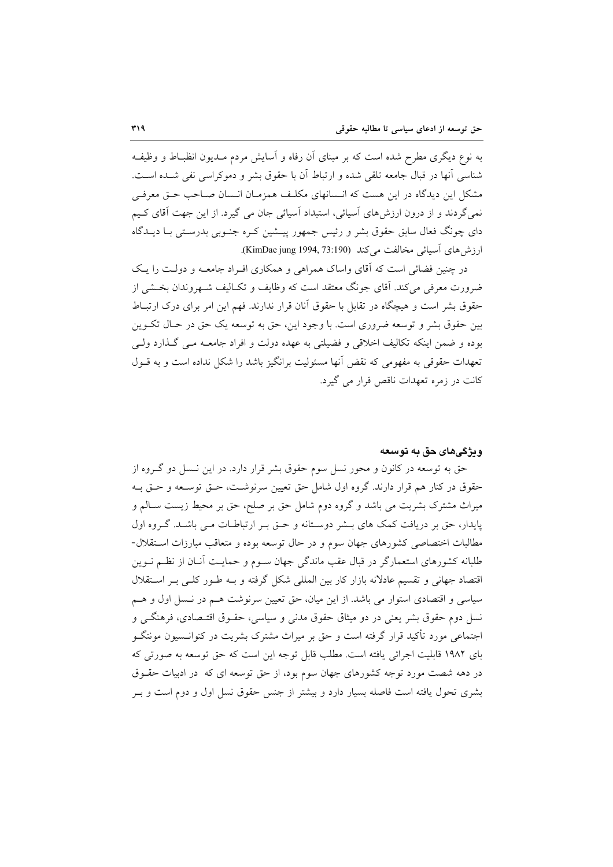به نوع دیگری مطرح شده است که بر مبنای آن رفاه و آسایش مردم مــدیون انظبــاط و وظیفــه شناسي أنها در قبال جامعه تلقى شده و ارتباط أن با حقوق بشر و دموكراسي نفي شــده اسـت. مشکل این دیدگاه در این هست که انـسانهای مکلـف همزمـان انـسان صـاحب حـق معرفـی نمیگردند و از درون ارزش،ای آسیائی، استبداد آسیائی جان می گیرد. از این جهت آقای کـیم دای چونگ فعال سابق حقوق بشر و رئیس جمهور پیـشین کـره جنـوبی بدرسـتی بـا دیــدگاه ارزش های آسیائی مخالفت می کند (KimDae jung 1994, 73:190).

در چنین فضائی است که آقای واساک همراهی و همکاری افـراد جامعـه و دولـت را یـک ضرورت معرفی می کند. آقای جونگ معتقد است که وظایف و تکـالیف شــهروندان بخــشی از حقوق بشر است و هیچگاه در تقابل با حقوق آنان قرار ندارند. فهم این امر برای درک ارتبـاط بین حقوق بشر و توسعه ضروری است. با وجود این، حق به توسعه یک حق در حـال تکــوین بوده و ضمن اینکه تکالیف اخلاقی و فضیلتی به عهده دولت و افراد جامعـه مـی گـذارد ولـی تعهدات حقوقی به مفهومی که نقض آنها مسئولیت برانگیز باشد را شکل نداده است و به قـول کانت در زمره تعهدات ناقص قرار می گیرد.

#### ودژگیهای حق به توسعه

حق به توسعه در کانون و محور نسل سوم حقوق بشر قرار دارد. در این نـسل دو گـروه از حقوق در کنار هم قرار دارند. گروه اول شامل حق تعیین سرنوشت، حـق توسـعه و حـق بـه میراث مشترک بشریت می باشد و گروه دوم شامل حق بر صلح، حق بر محیط زیست سـالم و پایدار، حق بر دریافت کمک های بــشر دوســتانه و حــق بــر ارتباطــات مــی باشــد. گــروه اول مطالبات اختصاصی کشورهای جهان سوم و در حال توسعه بوده و متعاقب مبارزات استقلال-طلبانه کشورهای استعمارگر در قبال عقب ماندگی جهان سـوم و حمایـت آنــان از نظــم نــوین اقتصاد جهانی و تقسیم عادلانه بازار کار بین المللی شکل گرفته و بــه طـور کلــی بــر اســتقلال سیاسی و اقتصادی استوار می باشد. از این میان، حق تعیین سرنوشت هـم در نـسل اول و هـم نسل دوم حقوق بشر یعنی در دو میثاق حقوق مدنی و سیاسی، حقـوق اقتـصادی، فرهنگــی و اجتماعی مورد تأکید قرار گرفته است و حق بر میراث مشترک بشریت در کنوانــسیون مونتگــو بای ۱۹۸۲ قابلیت اجرائی یافته است. مطلب قابل توجه این است که حق توسعه به صورتی که در دهه شصت مورد توجه کشورهای جهان سوم بود، از حق توسعه ای که در ادبیات حقــوق بشری تحول یافته است فاصله بسیار دارد و بیشتر از جنس حقوق نسل اول و دوم است و بـر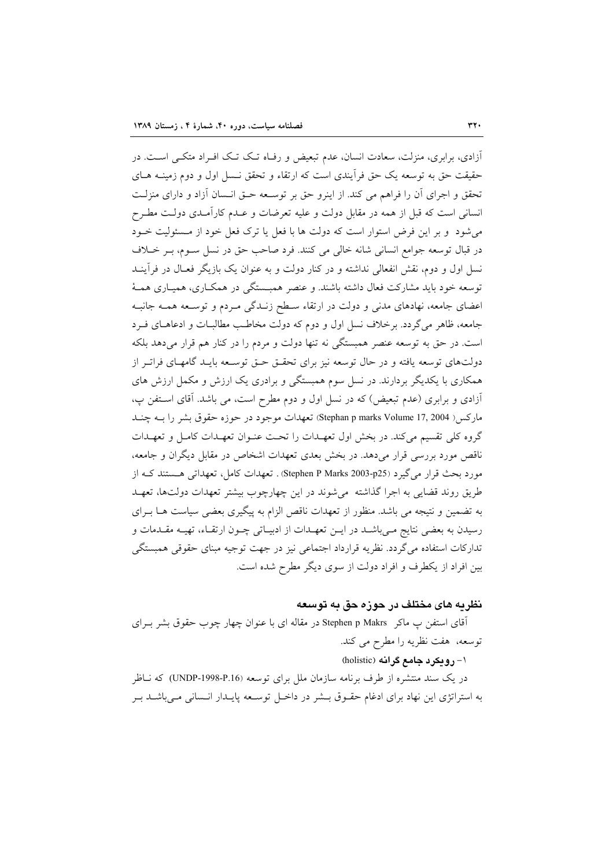آزادی، برابری، منزلت، سعادت انسان، عدم تبعیض و رفـاه تـک تـک افـراد متکـی اسـت. در حقیقت حق به توسعه یک حق فرآیندی است که ارتقاء و تحقق نــسل اول و دوم زمینــه هــای تحقق و اجرای آن را فراهم می کند. از اینرو حق بر توسعه حـق انـسان آزاد و دارای منزلـت انسانی است که قبل از همه در مقابل دولت و علیه تعرضات و عـدم کارآمـدی دولـت مطـرح می شود و بر این فرض استوار است که دولت ها با فعل یا ترک فعل خود از مـسئولیت خــود در قبال توسعه جوامع انسانی شانه خالی می کنند. فرد صاحب حق در نسل سـوم، بـر خـلاف نسل اول و دوم، نقش انفعالی نداشته و در کنار دولت و به عنوان یک بازیگر فعـال در فرآینــد توسعه خود باید مشارکت فعال داشته باشند. و عنصر همبـستگی در همکــاری، همیـاری همــهٔ اعضای جامعه، نهادهای مدنی و دولت در ارتقاء سـطح زنــدگی مــردم و توســعه همــه جانبــه جامعه، ظاهر می گردد. برخلاف نسل اول و دوم که دولت مخاطب مطالبـات و ادعاهـای فـرد است. در حق به توسعه عنصر همبستگی نه تنها دولت و مردم را در کنار هم قرار میدهد بلکه دولتهای توسعه یافته و در حال توسعه نیز برای تحقـق حـق توسـعه بایـد گامهـای فراتـر از همکاری با یکدیگر بردارند. در نسل سوم همبستگی و برادری یک ارزش و مکمل ارزش های أزادي و برابري (عدم تبعيض) كه در نسل اول و دوم مطرح است، مي باشد. آقاي استفن پ، مارکس ( Stephan p marks Volume 17, 2004) تعهدات موجود در حوزه حقوق بشر را بـه چنــد گروه کلی تقسیم میکند. در بخش اول تعهـدات را تحـت عنـوان تعهـدات کامـل و تعهـدات ناقص مورد بررسی قرار میدهد. در بخش بعدی تعهدات اشخاص در مقابل دیگران و جامعه، مورد بحث قرار می گیرد (Stephen P Marks 2003-p25) . تعهدات کامل، تعهداتی هستند ک از طریق روند قضایی به اجرا گذاشته می شوند در این چهارچوب بیشتر تعهدات دولتها، تعهـد به تضمین و نتیجه می باشد. منظور از تعهدات ناقص الزام به پیگیری بعضی سیاست هـا بـرای رسیدن به بعضی نتایج مـیباشــد در ایــن تعهـدات از ادبیــاتی چــون ارتقــاء، تهیــه مقــدمات و تداركات استفاده مي گردد. نظريه قرارداد اجتماعي نيز در جهت توجيه مبناي حقوقي همبستگي بین افراد از یکطرف و افراد دولت از سوی دیگر مطرح شده است.

#### نظریه های مختلف در حوزه حق به توسعه

آقای استفن پ ماکر Stephen p Makrs در مقاله ای با عنوان چهار چوب حقوق بشر بـرای توسعه، هفت نظريه را مطرح مي كند.

۱- روبکرد جامع گرانه (holistic)

در یک سند منتشره از طرف برنامه سازمان ملل برای توسعه (P.16-UNDP) که نــاظر به استراتژی این نهاد برای ادغام حقـوق بــشر در داخـل توســعه پایــدار انــسانی مــیباشــد بــر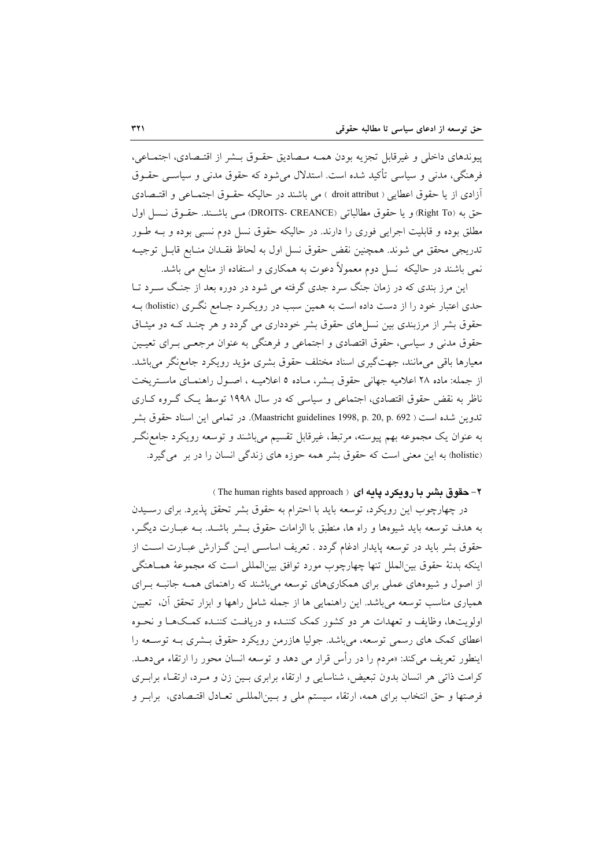پیوندهای داخلی و غیرقابل تجزیه بودن همـه مـصادیق حقـوق بـشر از اقتـصادی، اجتمـاعی، فرهنگي، مدني و سياسي تأكيد شده است. استدلال مي شود كه حقوق مدني و سياســي حقــوق أزادي از يا حقوق اعطايي ( droit attribut ) مي باشند در حاليكه حقـوق اجتمـاعي و اقتـصادي حق به (Right To) و يا حقوق مطالباتي (DROITS- CREANCE) مـي باشـند. حقـوق نـسل اول مطلق بوده و قابلیت اجرایی فوری را دارند. در حالیکه حقوق نسل دوم نسبی بوده و بـه طـور تدريجي محقق مي شوند. همچنين نقض حقوق نسل اول به لحاظ فقـدان منـابع قابـل توجيـه نمی باشند در حالیکه نسل دوم معمولاً دعوت به همکاری و استفاده از منابع می باشد.

این مرز بندی که در زمان جنگ سرد جدی گرفته می شود در دوره بعد از جنگ سـرد تــا حدی اعتبار خود را از دست داده است به همین سبب در رویکـرد جـامع نگـری (holistic) بـه حقوق بشر از مرزبندی بین نسلهای حقوق بشر خودداری می گردد و هر چنـد کـه دو میثـاق حقوق مدنی و سیاسی، حقوق اقتصادی و اجتماعی و فرهنگی به عنوان مرجعـی بـرای تعیـین معیارها باقی میمانند، جهتگیری اسناد مختلف حقوق بشری مؤید رویکرد جامع نگر میباشد. از جمله: ماده ۲۸ اعلامیه جهانی حقوق بـشر، مـاده ۵ اعلامیـه ، اصـول راهنمـای ماسـتریخت ناظر به نقض حقوق اقتصادی، اجتماعی و سیاسی که در سال ۱۹۹۸ توسط یک گروه کباری تدوين شده است ( Maastricht guidelines 1998, p. 20, p. 692). در تمامي اين اسناد حقوق بشر به عنوان یک مجموعه بهم پیوسته، مرتبط، غیرقابل تقسیم میباشند و توسعه رویکرد جامع نگـر (holistic) به این معنی است که حقوق بشر همه حوزه های زندگی انسان را در بر می گیرد.

٢- حقوق بشير با روبكرد يابه اي ( The human rights based approach )

در چهارچوب این رویکرد، توسعه باید با احترام به حقوق بشر تحقق پذیرد. برای رسـیدن به هدف توسعه بايد شيوهها و راه ها، منطبق با الزامات حقوق بــشر باشــد. بــه عبــارت ديگــر، حقوق بشر باید در توسعه پایدار ادغام گردد . تعریف اساسی ایـن گـزارش عبـارت اسـت از اينكه بدنهٔ حقوق بين|لملل تنها چهارچوب مورد توافق بين|لمللي است كه مجموعهٔ همـاهنگي از اصول و شیوههای عملی برای همکاریهای توسعه میباشند که راهنمای همـه جانبـه بـرای همباری مناسب توسعه می باشد. این راهنمایی ها از جمله شامل راهها و ایزار تحقق آن، تعیین اولويتها، وظايف و تعهدات هر دو كشور كمك كننـده و دريافـت كننـده كمـكـهـا و نحـوه اعطای کمک های رسمی توسعه، میباشد. جولیا هازرمن رویکرد حقوق بـشری بـه توسـعه را اينطور تعريف مي كند: «مردم را در رأس قرار مي دهد و توسعه انسان محور را ارتقاء مي دهـد. کرامت ذاتی هر انسان بدون تبعیض، شناسایی و ارتقاء برابری بـین زن و مـرد، ارتقـاء برابـری فرصتها و حق انتخاب برای همه، ارتقاء سیستم ملی و بـینالمللـی تعـادل اقتـصادی، برابـر و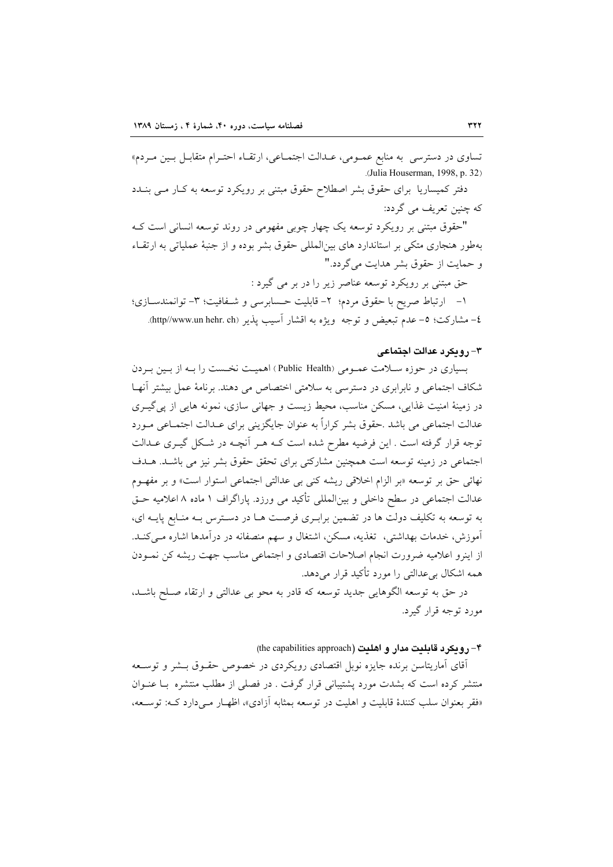تساوي در دسترسي به منابع عمـومي، عـدالت اجتمـاعي، ارتقـاء احتـرام متقابـل بـين مـردم» .(Julia Houserman, 1998, p. 32)

دفتر کمیساریا برای حقوق بشر اصطلاح حقوق مبتنی بر رویکرد توسعه به کـار مـی بنــدد که چنین تعریف می گردد:

"حقوق مبتنی بر رویکرد توسعه یک چهار چوبی مفهومی در روند توسعه انسانی است ک بهطور هنجاری متکی بر استاندارد های بین|لمللی حقوق بشر بوده و از جنبهٔ عملیاتی به ارتقـاء و حمایت از حقوق بشر هدایت می گردد."

حق مبتنی بر رویکرد توسعه عناصر زیر را در بر می گیرد : ١- ارتباط صريح با حقوق مردم؛ ٢- قابليت حسابرسي و شـفافيت؛ ٣- توانمندسـازي؛ ٤– مشاركت؛ ٥– عدم تبعيض و توجه ۖ ويژه به اقشار اسيب يذير (http//www.un hehr. ch.

#### ٣- رويكرد عدالت اجتماعي

بسیاری در جوزه سیلامت عمومی (Public Health) اهمیت نخست را بیه از پین به دن شکاف اجتماعی و نابرابری در دسترسی به سلامتی اختصاص می دهند. برنامهٔ عمل بیشتر آنها در زمینهٔ امنیت غذایی، مسکن مناسب، محیط زیست و جهانی سازی، نمونه هایی از پی گیـری عدالت اجتماعی می باشد .حقوق بشر کراراً به عنوان جایگزینی برای عـدالت اجتمـاعی مـورد توجه قرار گرفته است . این فرضیه مطرح شده است کـه هـر آنچـه در شـکل گیـری عـدالت اجتماعی در زمینه توسعه است همچنین مشارکتی برای تحقق حقوق بشر نیز می باشـد. هـدف نهائي حق بر توسعه «بر الزام اخلاقي ريشه كني بي عدالتي اجتماعي استوار است» و بر مفهـوم عدالت اجتماعی در سطح داخلی و بین|لمللی تأکید می ورزد. پاراگراف ۱ ماده ۸ اعلامیه حـق به توسعه به تکلیف دولت ها در تضمین برابـری فرصـت هـا در دسـترس بـه منـابع پایـه ای، آموزش، خدمات بهداشتی، تغذیه، مسکن، اشتغال و سهم منصفانه در درآمدها اشاره مـیکنـد. از اینرو اعلامیه ضرورت انجام اصلاحات اقتصادی و اجتماعی مناسب جهت ریشه کن نمـودن همه اشکال بی عدالتی را مورد تأکید قرار میدهد.

در حق به توسعه الگوهایی جدید توسعه که قادر به محو بی عدالتی و ارتقاء صلح باشـد، مورد توجه قرار گیرد.

#### ۴- روبكرد قابليت مدار و اهليت (the capabilities approach)

أقای آماریتاسن برنده جایزه نوبل اقتصادی رویکردی در خصوص حقــوق بــشر و توســعه منتشر کرده است که بشدت مورد پشتیبانی قرار گرفت . در فصلی از مطلب منتشره بـا عنـوان «فقر بعنوان سلب كنندهٔ قابلیت و اهلیت در توسعه بمثابه أزادی»، اظهـار مـیدارد کـه: توســعه،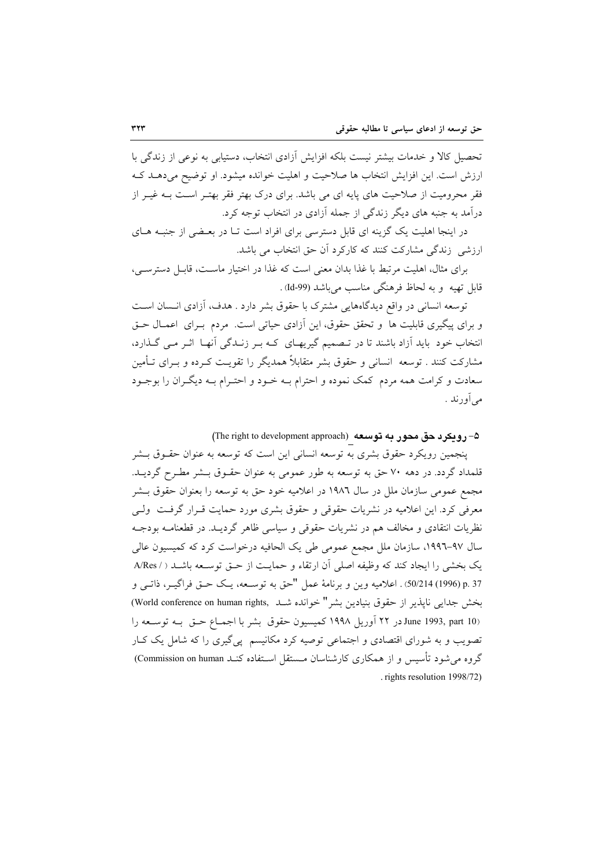تحصیل کالا و خدمات بیشتر نیست بلکه افزایش آزادی انتخاب، دستیابی به نوعی از زندگی با ارزش است. این افزایش انتخاب ها صلاحیت و اهلیت خوانده میشود. او توضیح می دهـد کـه فقر محرومیت از صلاحیت های پایه ای می باشد. برای درک بهتر فقر بهتـر اسـت بـه غیـر از درآمد به جنبه های دیگر زندگی از جمله آزادی در انتخاب توجه کرد.

در اینجا اهلیت یک گزینه ای قابل دسترسی برای افراد است تـا در بعـضی از جنبـه هـای ارزشی زندگی مشارکت کنند که کارکرد آن حق انتخاب می باشد.

برای مثال، اهلیت مرتبط با غذا بدان معنی است که غذا در اختیار ماسـت، قابـل دسترسـی، قابل تھیه و به لحاظ فرهنگی مناسب میباشد (Jd-99).

توسعه انسانی در واقع دیدگاههایی مشترک با حقوق بشر دارد . هدف، آزادی انـسان اسـت و برای پیگیری قابلیت ها و تحقق حقوق، این آزادی حیاتی است. مردم بـرای اعمـال حـق انتخاب خود باید آزاد باشند تا در تـصمیم گیریهـای کـه بـر زنـدگی آنهـا اثـر مـی گـذارد، مشارکت کنند . توسعه انسانی و حقوق بشر متقابلاً همدیگر را تقویـت کـرده و بــرای تــأمین سعادت و کرامت همه مردم کمک نموده و احترام بـه خـود و احتـرام بـه ديگـران را بوجـود میآورند .

۵– رویکرد حق محور به توسعه (The right to development approach)

پنجمین رویکرد حقوق بشری به توسعه انسانی این است که توسعه به عنوان حقــوق بــشر قلمداد گردد. در دهه ۷۰ حق به توسعه به طور عمومی به عنوان حقـوق بـشر مطـرح گرديــد. مجمع عمومی سازمان ملل در سال ۱۹۸۲ در اعلامیه خود حق به توسعه را بعنوان حقوق بـشر معرفی کرد. این اعلامیه در نشریات حقوقی و حقوق بشری مورد حمایت قـرار گرفـت ولـی نظریات انتقادی و مخالف هم در نشریات حقوقی و سیاسی ظاهر گردیــد. در قطعنامــه بودجــه سال ۹۷-۱۹۹۳، سازمان ملل مجمع عمومی طی یک الحافیه درخواست کرد که کمیسیون عالی يک بخشي را ايجاد کند که وظيفه اصلي آن ارتقاء و حمايت از حـق توسـعه باشـد ( / A/Res p. 37 (1996) 50/214). اعلاميه وين و برنامهٔ عمل "حق به توسـعه، يـك حـق فراگيـر، ذاتـي و بخش جدایی ناپذیر از حقوق بنیادین بشر " خوانده شبد (World conference on human rights) June 1993, part 10)در ۲۲ آوریل ۱۹۹۸ کمیسیون حقوق بشر با اجمـاع حــق بــه توســعه را تصویب و به شورای اقتصادی و اجتماعی توصیه کرد مکانیسم پی گیری را که شامل یک کبار گروه می شود تأسیس و از همکاری کارشناسان مستقل استفاده کنـد Commission on human) rights resolution 1998/72).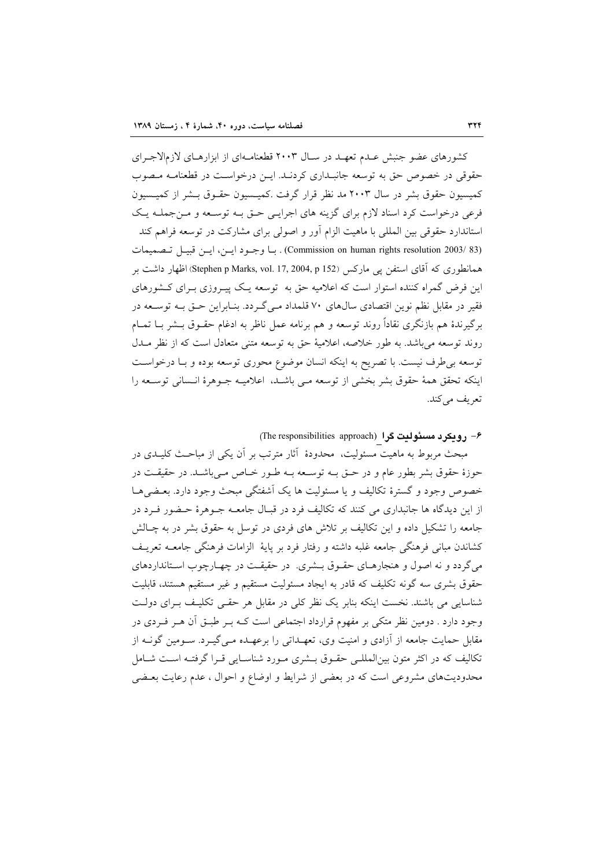کشورهای عضو جنبش عـدم تعهـد در سـال ۲۰۰۳ قطعنامـهای از ابزارهـای لازمالاجـرای حقوقی در خصوص حق به توسعه جانبـداری کردنـد. ایـن درخواسـت در قطعنامـه مـصوب کمیسیون حقوق بشر در سال ۲۰۰۳ مد نظر قرار گرفت .کمیـسیون حقـوق بـشر از کمیـسیون فرعی درخواست کرد اسناد لازم برای گزینه های اجرایـی حـق بــه توســعه و مــنجملــه یــک استاندارد حقوقی بین المللی با ماهیت الزام آور و اصولی برای مشارکت در توسعه فراهم کند (Commission on human rights resolution 2003/ 83). با وجود ايـن، ايـن قبيـل تـصميمات همانطوری که آقای استفن پی مارکس (Stephen p Marks, vol. 17, 2004, p 152) اظهار داشت بر این فرض گمراه کننده استوار است که اعلامیه حق به توسعه یـک پیـروزی بـرای کــشورهای فقیر در مقابل نظم نوین اقتصادی سالهای ۷۰ قلمداد مـیگـردد. بنـابراین حـق بـه توسـعه در برگیرندهٔ هم بازنگری نقاداً روند توسعه و هم برنامه عمل ناظر به ادغام حقـوق بــشر بــا تمــام روند توسعه می باشد. به طور خلاصه، اعلامیهٔ حق به توسعه متنی متعادل است که از نظر مــدل توسعه بی طرف نیست. با تصریح به اینکه انسان موضوع محوری توسعه بوده و بـا درخواسـت اينكه تحقق همة حقوق بشر بخشي از توسعه مـي باشـد، اعلاميـه جـوهرة انـساني توسـعه را تعريف ميكند.

۶- رويکرد مسئوليت گرا (The responsibilities approach)

مبحث مربوط به ماهیت مسئولیت، محدودهٔ آثار مترتب بر آن یکی از مباحـث کلیــدی در حوزهٔ حقوق بشر بطور عام و در حــق بــه توســعه بــه طــور خــاص مــی،باشــد. در حقیقــت در خصوص وجود و گسترهٔ تکالیف و یا مسئولیت ها یک آشفتگی مبحث وجود دارد. بعـضیهـا از این دیدگاه ها جانبداری می کنند که تکالیف فرد در قبـال جامعـه جـوهرهٔ حـضور فـرد در جامعه را تشکیل داده و این تکالیف بر تلاش های فردی در توسل به حقوق بشر در به چـالش كشاندن مباني فرهنگي جامعه غلبه داشته و رفتار فرد بر پايهٔ الزامات فرهنگي جامعــه تعريــف میگردد و نه اصول و هنجارهـای حقـوق بـشری. در حقیقـت در چهـارچوب اسـتانداردهای حقوق بشرى سه گونه تكليف كه قادر به ايجاد مسئوليت مستقيم و غير مستقيم هستند، قابليت شناسایی می باشند. نخست اینکه بنابر یک نظر کلی در مقابل هر حقبی تکلیـف بـرای دولـت وجود دارد . دومین نظر متکی بر مفهوم قرارداد اجتماعی است کـه بـر طبـق آن هـر فـردی در مقابل حمایت جامعه از آزادی و امنیت وی، تعهـداتی را برعهـده مـی&یـرد. سـومین گونــه از تکالیف که در اکثر متون بینالمللـی حقـوق بــشری مـورد شناسـایی قـرا گرفتـه اسـت شـامل محدودیتهای مشروعی است که در بعضی از شرایط و اوضاع و احوال ، عدم رعایت بعـضی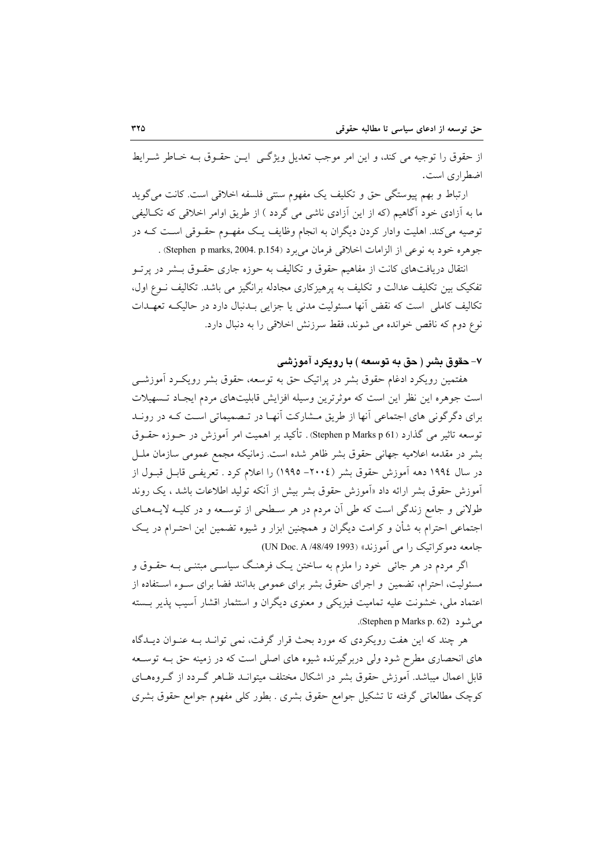از حقوق را توجیه می کند، و این امر موجب تعدیل ویژگی ایــن حقــوق بــه خــاطر شــرایط اضط اری است.

ارتباط و بهم پیوستگی حق و تکلیف یک مفهوم سنتی فلسفه اخلاقی است. کانت می گوید ما به آزادی خود آگاهیم (که از این آزادی ناشی می گردد ) از طریق اوامر اخلاقی که تکـالیفی توصیه می کند. اهلیت وادار کردن دیگران به انجام وظایف یـک مفهـوم حقـوقی اسـت کـه در جوهره خود به نوعي از الزامات اخلاقي فرمان مي برد (Stephen p marks, 2004. p.154) .

انتقال دریافتهای کانت از مفاهیم حقوق و تکالیف به حوزه جاری حقـوق بـشر در پرتـو تفکیک بین تکلیف عدالت و تکلیف به یرهیزکاری مجادله برانگیز می باشد. تکالیف نـوع اول، تکالیف کاملی است که نقض آنها مسئولیت مدنی یا جزایی بـدنبال دارد در حالیکـه تعهـدات نوع دوم که ناقص خوانده می شوند، فقط سرزنش اخلاقی را به دنبال دارد.

#### ۷– حقوق بشر ( حق به توسعه ) با رویکرد آموزشی

هفتمین رویکرد ادغام حقوق بشر در پراتیک حق به توسعه، حقوق بشر رویک رد آموزشــی است جوهره این نظر این است که موثرترین وسیله افزایش قابلیتهای مردم ایجـاد تـسهیلات برای دگرگونی های اجتماعی آنها از طریق مشارکت آنهـا در تـصمیماتی اسـت کـه در رونـد توسعه تاثیر می گذارد (Stephen p Marks p 61) . تأکید بر اهمیت امر آموزش در حــوزه حقــوق بشر در مقدمه اعلامیه جهانی حقوق بشر ظاهر شده است. زمانیکه مجمع عمومی سازمان ملـل در سال ١٩٩٤ دهه آموزش حقوق بشر (٢٠٠٤– ١٩٩٥) را اعلام كرد . تعريفـي قابـل قبــول از آموزش حقوق بشر ارائه داد «آموزش حقوق بشر بیش از آنکه تولید اطلاعات باشد ، یک روند طولانی و جامع زندگی است که طی آن مردم در هر سطحی از توسعه و در کلیـه لایـههـای اجتماعی احترام به شأن و کرامت دیگران و همچنین ابزار و شیوه تضمین این احتـرام در یـک جامعه دموکر اتبک را می آموزند» (UN Doc. A /48/49 1993)

اگر مردم در هر جائبی خود را ملزم به ساختن یـک فرهنـگ سیاسـی مبتنـبی بــه حقــوق و مسئولیت، احترام، تضمین و اجرای حقوق بشر برای عمومی بدانند فضا برای سـوء اسـتفاده از اعتماد ملي، خشونت عليه تماميت فيزيكي و معنوى ديگران و استثمار اقشار آسيب يذير بـسته می شو د (Stephen p Marks p. 62).

هر چند که این هفت رویکردی که مورد بحث قرار گرفت، نمی توانـد بـه عنـوان دیـدگاه های انحصاری مطرح شود ولی دربر گیرنده شیوه های اصلی است که در زمینه حق بــه توســعه قابل اعمال میباشد. آموزش حقوق بشر در اشکال مختلف میتوانــد ظـاهر گــردد از گــروههــای كوچك مطالعاتي گرفته تا تشكيل جوامع حقوق بشرى . بطور كلي مفهوم جوامع حقوق بشرى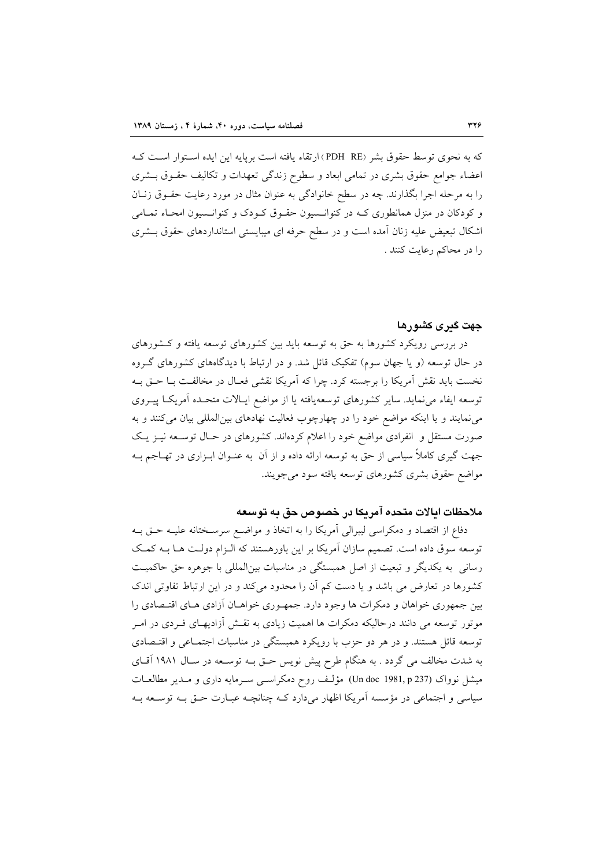كه به نحوي توسط حقوق بشر (PDH\_RE) ارتقاء يافته است بريايه اين ايده استوار است كـه اعضاء جوامع حقوق بشرى در تمامى ابعاد و سطوح زندگى تعهدات و تكاليف حقـوق بـشرى را به مرحله اجرا بگذارند. چه در سطح خانوادگی به عنوان مثال در مورد رعایت حقــوق زنــان و کودکان در منزل همانطوری کـه در کنوانـسیون حقـوق کـودک و کنوانـسیون امحـاء تمـامی اشکال تبعیض علیه زنان آمده است و در سطح حرفه ای میبایستی استانداردهای حقوق بـشری را در محاکم رعایت کنند .

## جهت گيری کشورها

در بررسی رویکرد کشورها به حق به توسعه باید بین کشورهای توسعه یافته و کـشورهای در حال توسعه (و یا جهان سوم) تفکیک قائل شد. و در ارتباط با دیدگاههای کشورهای گـروه نخست باید نقش آمریکا را برجسته کرد. چرا که آمریکا نقشی فعـال در مخالفـت بـا حـق بـه توسعه ایفاء می نماید. سایر کشورهای توسعهپافته یا از مواضع ایـالات متحـده آمریکـا پیـروی می نمایند و یا اینکه مواضع خود را در چهارچوب فعالیت نهادهای بین المللی بیان می کنند و به صورت مستقل و انفرادی مواضع خود را اعلام کردهاند. کشورهای در حـال توسـعه نیــز یــک جهت گیری کاملاً سیاسی از حق به توسعه ارائه داده و از آن به عنـوان ابـزاری در تهــاجم بــه مواضع حقوق بشرى كشورهاى توسعه يافته سود مى جويند.

## ملاحظات ايالات متحده آمريكا در خصوص حق به توسعه

دفاع از اقتصاد و دمکراسی لیبرالی آمریکا را به اتخاذ و مواضع سرسـختانه علیـه حـق بـه توسعه سوق داده است. تصمیم سازان آمریکا بر این باورهستند که الـزام دولـت هـا بــه کمـک رسانی به یکدیگر و تبعیت از اصل همبستگی در مناسبات بین|لمللی با جوهره حق حاکمیت کشورها در تعارض می باشد و یا دست کم آن را محدود میکند و در این ارتباط تفاوتی اندک بین جمهوری خواهان و دمکرات ها وجود دارد. جمهـوری خواهـان آزادی هـای اقتـصادی را موتور توسعه می دانند درحالیکه دمکرات ها اهمیت زیادی به نقـش آزادیهـای فـردی در امـر توسعه قائل هستند. و در هر دو حزب با رویکرد همبستگی در مناسبات اجتمـاعی و اقتـصادی به شدت مخالف می گردد . به هنگام طرح پیش نویس حـق بــه توســعه در ســال ۱۹۸۱ آقــای میشل نوواک (Un doc 1981, p 237) مؤلّف روح دمکراسـبی سـرمایه داری و مـدیر مطالعــات سیاسی و اجتماعی در مؤسسه اَمریکا اظهار میدارد کـه چنانچـه عبـارت حـق بـه توسـعه بـه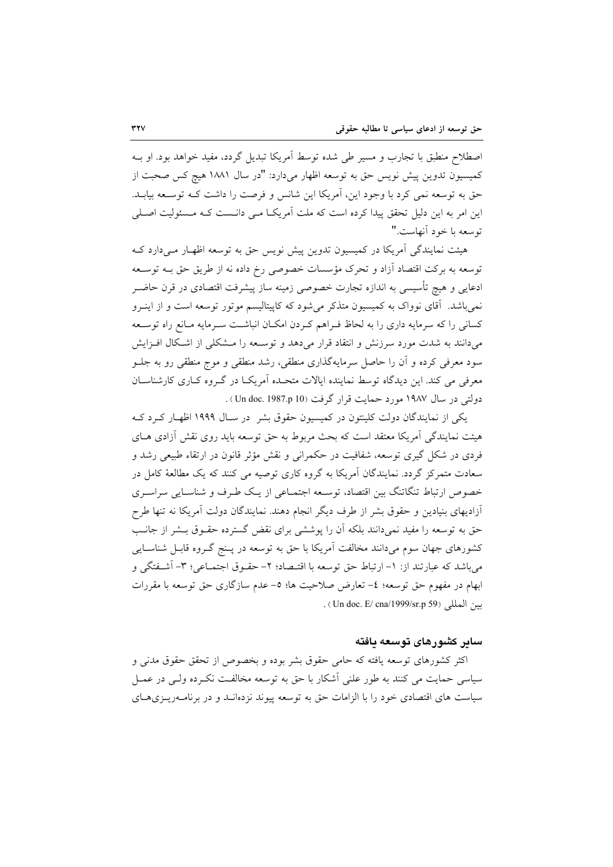اصطلاح منطبق با تجارب و مسیر طی شده توسط آمریکا تبدیل گردد، مفید خواهد بود. او بـه كميسيون تدوين پيش نويس حق به توسعه اظهار ميدارد: "در سال ١٨٨١ هيچ كس صحبت از حق به توسعه نمی کرد با وجود این، آمریکا این شانس و فرصت را داشت کـه توسـعه بیابــد. این امر به این دلیل تحقق پیدا کرده است که ملت آمریکا مـی دانـست کـه مـسئولیت اصـلـی توسعه با خود آنهاست."

هیئت نمایندگی آمریکا در کمیسیون تدوین پیش نویس حق به توسعه اظهـار مـیدارد کـه توسعه به بركت اقتصاد آزاد و تحرك مؤسسات خصوصي رخ داده نه از طريق حق بـه توسـعه ادعایی و هیچ تأسیسی به اندازه تجارت خصوصی زمینه ساز پیشرفت اقتصادی در قرن حاضـر نمیباشد. آقای نوواک به کمیسیون متذکر میشود که کاپیتالیسم موتور توسعه است و از اینـرو كساني راكه سرمايه داري را به لحاظ فـراهم كـردن امكـان انباشـت سـرمايه مـانع راه توسـعه می دانند به شدت مورد سرزنش و انتقاد قرار می دهد و توسـعه را مـشکلی از اشـکال افـزایش سود معرفی کرده و آن را حاصل سرمایهگذاری منطقی، رشد منطقی و موج منطقی رو به جلــو معرفی می کند. این دیدگاه توسط نماینده ایالات متحـده آمریکــا در گــروه کــاری کارشناســان دولتی در سال ۱۹۸۷ مورد حمایت قرار گرفت (Un doc. 1987.p 10) .

یکی از نمایندگان دولت کلینتون در کمیسیون حقوق بشر در سـال ۱۹۹۹ اظهـار کـرد کـه هیئت نمایندگی آمریکا معتقد است که بحث مربوط به حق توسعه باید روی نقش آزادی هــای فردی در شکل گیری توسعه، شفافیت در حکمرانی و نقش مؤثر قانون در ارتقاء طبیعی رشد و سعادت متمرکز گردد. نمایندگان آمریکا به گروه کاری توصیه می کنند که یک مطالعهٔ کامل در خصوص ارتباط تنگاتنگ بین اقتصاد، توسعه اجتمـاعی از یـک طـرف و شناسـایی سراسـری آزادیهای بنیادین و حقوق بشر از طرف دیگر انجام دهند. نمایندگان دولت آمریکا نه تنها طرح حق به توسعه را مفید نمیدانند بلکه آن را پوششی برای نقض گسترده حقـوق بــشر از جانــب کشورهای جهان سوم میدانند مخالفت آمریکا با حق به توسعه در پـنج گـروه قابـل شناسـایی میباشد که عبارتند از: ١– ارتباط حق توسعه با اقتـصاد؛ ٢– حقــوق اجتمــاعی؛ ٣– اَشــفتگی و ابهام در مفهوم حق توسعه؛ ٤- تعارض صلاحيت ها؛ ٥- عدم سازگاري حق توسعه با مقررات سن المللي (Un doc. E/ cna/1999/sr.p 59) .

#### سایر کشورهای توسعه یافته

اکثر کشورهای توسعه یافته که حامی حقوق بشر بوده و بخصوص از تحقق حقوق مدنی و سیاسی حمایت می کنند به طور علنی آشکار با حق به توسعه مخالفت نکـرده ولـی در عمـل سیاست های اقتصادی خود را با الزامات حق به توسعه پیوند نزدهانـد و در برنامــهریــزیهــای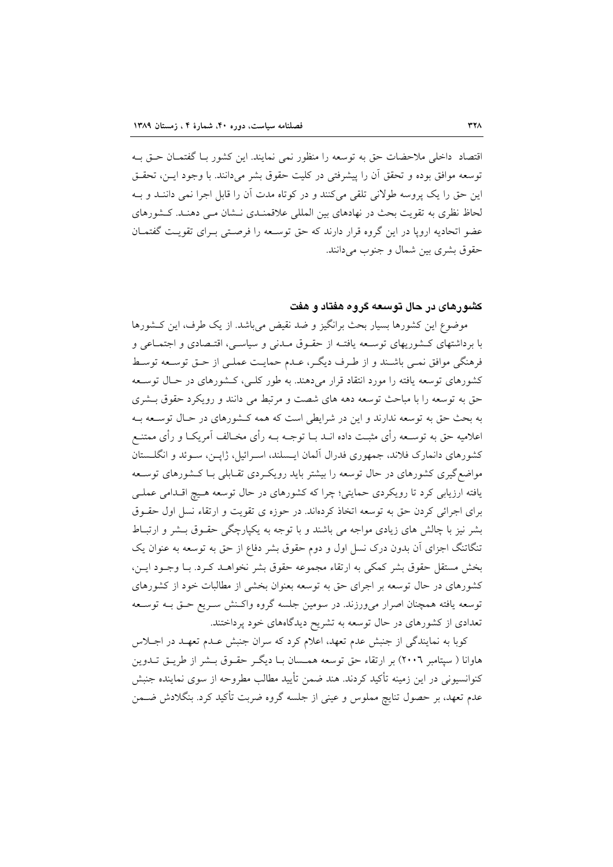اقتصاد داخلی ملاحضات حق به توسعه را منظور نمی نمایند. این کشور بـا گفتمــان حــق بــه توسعه موافق بوده و تحقق أن را پیشرفتی در کلیت حقوق بشر می دانند. با وجود ایـن، تحقـق این حق را یک پروسه طولانی تلقی میکنند و در کوتاه مدت آن را قابل اجرا نمی داننـد و بـه لحاظ نظری به تقویت بحث در نهادهای بین المللی علاقمنـدی نـشان مـی دهنـد. كـشورهای عضو اتحادیه اروپا در این گروه قرار دارند که حق توسعه را فرصتی بـرای تقویـت گفتمـان حقوق بشري بين شمال و جنوب مي دانند.

## کشورهای در حال توسعه گروه هفتاد و هفت

موضوع این کشورها بسیار بحث برانگیز و ضد نقیض می باشد. از یک طرف، این کـشورها با برداشتهای کـشوریهای توسـعه یافتـه از حقـوق مـدنی و سیاسـی، اقتـصادی و اجتمـاعی و فرهنگی موافق نمـی باشـند و از طـرف دیگـر، عـدم حمایـت عملـی از حـق توسـعه توسـط کشورهای توسعه یافته را مورد انتقاد قرار میدهند. به طور کلـی، کـشورهای در حـال توسـعه حق به توسعه را با مباحث توسعه دهه های شصت و مرتبط می دانند و رویکرد حقوق بـشری به بحث حق به توسعه ندارند و این در شرایطی است که همه کشورهای در حـال توسـعه بـه اعلامیه حق به توسـعه رأی مثبـت داده انــد بــا توجــه بــه رأی مخــالف آمریکــا و رأی ممتنــع کشورهای دانمارک فلاند، جمهوری فدرال آلمان ایـسلند، اسـرائیل، ژاپــن، سـوئد و انگلــستان مواضع گیری کشورهای در حال توسعه را بیشتر باید رویک ردی تقـابلی بـا کـشورهای توسـعه یافته ارزیابی کرد تا رویکردی حمایتی؛ چرا که کشورهای در حال توسعه هـیچ اقـدامی عملـی برای اجرائی کردن حق به توسعه اتخاذ کردهاند. در حوزه ی تقویت و ارتقاء نسل اول حقـوق بشر نیز با چالش های زیادی مواجه می باشند و با توجه به یکپارچگی حقـوق بـشر و ارتبـاط تنگاتنگ اجزای آن بدون درک نسل اول و دوم حقوق بشر دفاع از حق به توسعه به عنوان یک بخش مستقل حقوق بشر كمكي به ارتقاء مجموعه حقوق بشر نخواهـد كـرد. بـا وجــود ايــن، کشورهای در حال توسعه بر اجرای حق به توسعه بعنوان بخشی از مطالبات خود از کشورهای توسعه یافته همچنان اصرار میورزند. در سومین جلسه گروه واکـنش سـریع حـق بـه توسـعه تعدادی از کشورهای در حال توسعه به تشریح دیدگاههای خود پرداختند.

کوبا به نمایندگی از جنبش عدم تعهد، اعلام کرد که سران جنبش عـدم تعهـد در اجـلاس هاوانا ( سیتامبر ۲۰۰٦) بر ارتقاء حق توسعه همـسان بـا دیگـر حقـوق بـشر از طریـق تــدوین کنوانسیونی در این زمینه تأکید کردند. هند ضمن تأیید مطالب مطروحه از سوی نماینده جنبش عدم تعهد، بر حصول تنایج مملوس و عینی از جلسه گروه ضربت تأکید کرد. بنگلادش ضـمن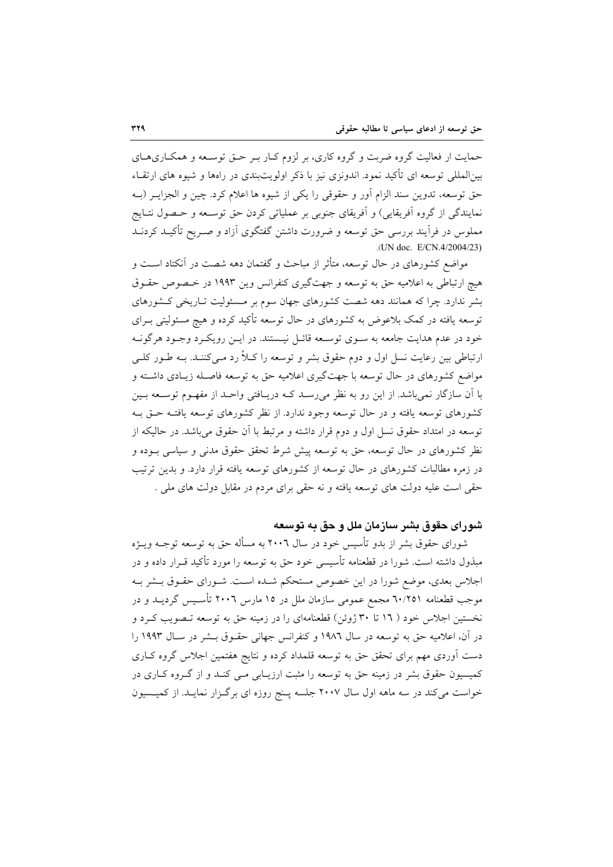حمایت ار فعالیت گروه ضربت و گروه کاری، بر لزوم کـار بـر حــق توســعه و همکـاریهــای بین|لمللی توسعه ای تأکید نمود. اندونزی نیز با ذکر اولویتبندی در راهها و شیوه های ارتقـاء حق توسعه، تدوين سند الزام أور و حقوقي را يكي از شيوه ها اعلام كرد. چين و الجزايـر (بـه نمايندگي از گروه آفريقايي) و آفريقاي جنوبي بر عملياتي کردن حق توسـعه و حـصول نتـايج مملوس در فرآیند بررسی حق توسعه و ضرورت داشتن گفتگوی آزاد و صـریح تأکیــد کردنــد .(UN doc. E/CN.4/2004/23)

مواضع کشورهای در حال توسعه، متأثر از مباحث و گفتمان دهه شصت در آنکتاد اسـت و هیچ ارتباطی به اعلامیه حق به توسعه و جهتگیری کنفرانس وین ۱۹۹۳ در خـصوص حقـوق بشر ندارد. چرا که همانند دهه شصت کشورهای جهان سوم بر مـسئولیت تـاریخی کـشورهای توسعه یافته در کمک بلاعوض به کشورهای در حال توسعه تأکید کرده و هیچ مسئولیتی بــرای خود در عدم هدایت جامعه به سـوی توسـعه قائـل نیـستند. در ایــن رویکــرد وجــود هرگونــه ارتباطی بین رعایت نسل اول و دوم حقوق بشر و توسعه را کیلاً رد مـی کننـد. بـه طـور کلـی مواضع کشورهای در حال توسعه با جهتگیری اعلامیه حق به توسعه فاصـله زیـادی داشـته و با آن سازگار نمیباشد. از این رو به نظر میرسـد کـه دریـافتی واحـد از مفهـوم توسـعه بـین کشورهای توسعه یافته و در حال توسعه وجود ندارد. از نظر کشورهای توسعه یافتـه حــق بــه توسعه در امتداد حقوق نسل اول و دوم قرار داشته و مرتبط با آن حقوق می باشد. در حالیکه از نظر کشورهای در حال توسعه، حق به توسعه پیش شرط تحقق حقوق مدنی و سیاسی بــوده و در زمره مطالبات کشورهای در حال توسعه از کشورهای توسعه یافته قرار دارد. و بدین ترتیب حقی است علیه دولت های توسعه یافته و نه حقی برای مردم در مقابل دولت های ملی .

## شورای حقوق بشر سازمان ملل و حق به توسعه

شورای حقوق بشر از بدو تأسیس خود در سال ۲۰۰٦ به مسأله حق به توسعه توجـه ویــژه مبذول داشته است. شورا در قطعنامه تأسیسی خود حق به توسعه را مورد تأکید قـرار داده و در اجلاس بعدی، موضع شورا در این خصوص مستحکم شـده اسـت. شـورای حقـوق بـشر بـه موجب قطعنامه ٦٠/٢٥١ مجمع عمومي سازمان ملل در ١٥ مارس ٢٠٠٦ تأسـيس گرديــد و در نخستین اجلاس خود ( ۱۲ تا ۳۰ ژوئن) قطعنامهای را در زمینه حق به توسعه تـصویب کـرد و در آن، اعلامیه حق به توسعه در سال ۱۹۸٦ و کنفرانس جهانی حقـوق بـشر در سـال ۱۹۹۳ را دست آوردی مهم برای تحقق حق به توسعه قلمداد کرده و نتایج هفتمین اجلاس گروه کـاری کمیسیون حقوق بشر در زمینه حق به توسعه را مثبت ارزیـابی مـی کنـد و از گـروه کـاری در خواست میکند در سه ماهه اول سال ۲۰۰۷ جلسه پـنج روزه ای برگـزار نمایـد. از کمیــسیون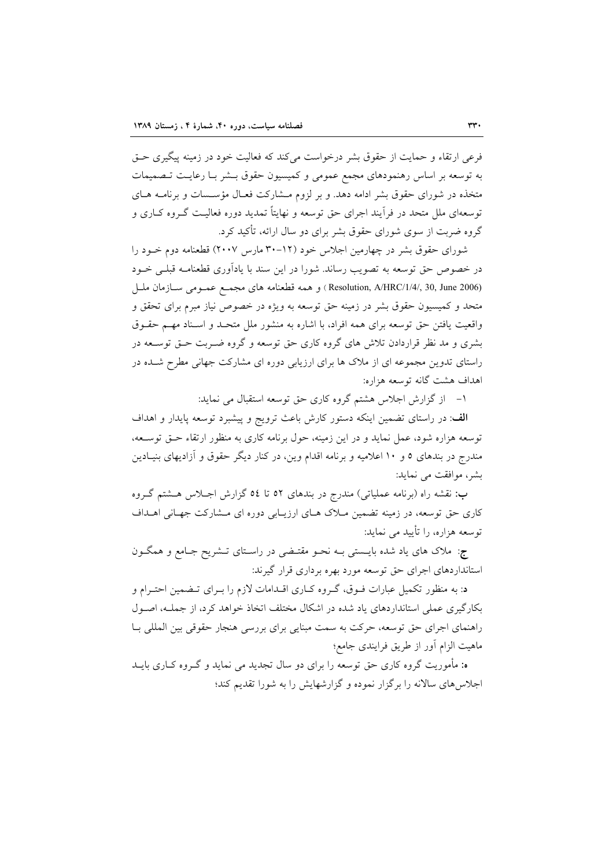فرعي ارتقاء و حمايت از حقوق بشر درخواست مي كند كه فعاليت خود در زمينه پيگيري حــق به توسعه بر اساس رهنمودهای مجمع عمومی و کمیسیون حقوق بــشر بـا رعایـت تـصمیمات متخذه در شورای حقوق بشر ادامه دهد. و بر لزوم مـشارکت فعـال مؤسـسات و برنامــه هــای توسعهای ملل متحد در فرأیند اجرای حق توسعه و نهایتاً تمدید دوره فعالیت گـروه کـاری و گروه ضربت از سوی شورای حقوق بشر برای دو سال ارائه، تأکید کرد.

شورای حقوق بشر در چهارمین اجلاس خود (۱۲–۳۰ مارس ۲۰۰۷) قطعنامه دوم خـود را در خصوص حق توسعه به تصويب رساند. شورا در اين سند با يادآوري قطعنامـه قبلـي خــود (Resolution, A/HRC/1/4/, 30, June 2006) و همه قطعنامه هاي مجمع عمـومي سـازمان ملـل متحد و کمیسیون حقوق بشر در زمینه حق توسعه به ویژه در خصوص نیاز مبرم برای تحقق و واقعیت یافتن حق توسعه برای همه افراد، با اشاره به منشور ملل متحـد و اسـناد مهـم حقـوق بشری و مد نظر قراردادن تلاش های گروه کاری حق توسعه و گروه ضـربت حــق توســعه در راستای تدوین مجموعه ای از ملاک ها برای ارزیابی دوره ای مشارکت جهانی مطرح شـده در اهداف هشت گانه توسعه هزاره:

١- از گزارش اجلاس هشتم گروه کاری حق توسعه استقبال می نماید:

الف: در راستای تضمین اینکه دستور کارش باعث ترویج و پیشبرد توسعه پایدار و اهداف توسعه هزاره شود، عمل نماید و در این زمینه، حول برنامه کاری به منظور ارتقاء حـق توسـعه، مندرج در بندهای ٥ و ١٠ اعلامیه و برنامه اقدام وین، در کنار دیگر حقوق و آزادیهای بنیـادین بشر، موافقت می نماید:

ب: نقشه راه (برنامه عملیاتی) مندرج در بندهای ٥٢ تا ٥٤ گزارش اجـلاس هــشتم گــروه کاری حق توسعه، در زمینه تضمین مـلاک هـای ارزیـابی دوره ای مـشارکت جهـانی اهــداف توسعه هزاره، را تأیید می نماید:

ج: ملاک های یاد شده بایــستی بــه نحــو مقتــضی در راســتای تــشریح جــامع و همگــون استانداردهای اجرای حق توسعه مورد بهره برداری قرار گیرند:

د: به منظور تکمیل عبارات فـوق، گـروه کـاری اقـدامات لازم را بـرای تـضمین احتـرام و بکارگیری عملی استانداردهای یاد شده در اشکال مختلف اتخاذ خواهد کرد، از جملـه، اصـول راهنمای اجرای حق توسعه، حرکت به سمت مبنایی برای بررسی هنجار حقوقی بین المللی بـا ماهيت الزام أور از طريق فرايندي جامع؛

ه: مأموریت گروه کاری حق توسعه را برای دو سال تجدید می نماید و گـروه کـاری بایــد اجلاس های سالانه را برگزار نموده و گزارشهایش را به شورا تقدیم کند؛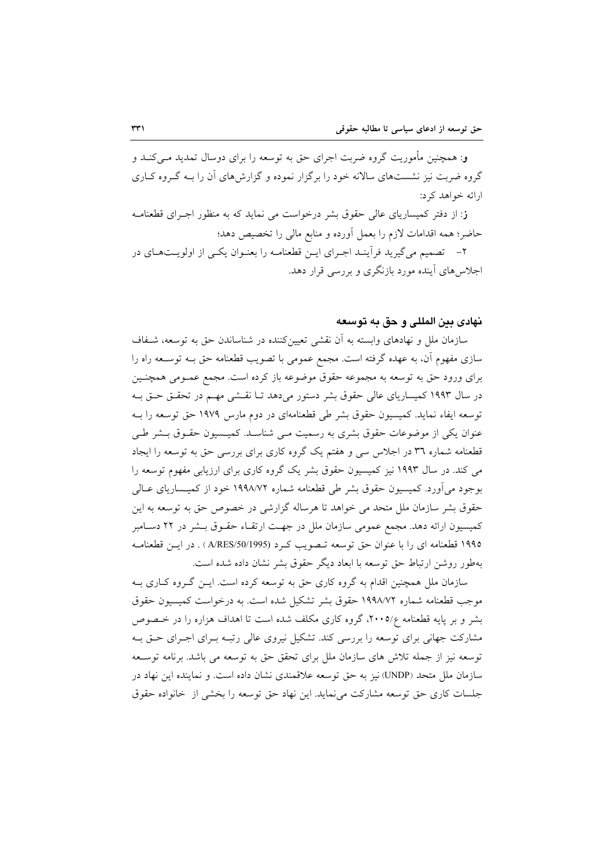و: همچنین مأموریت گروه ضربت اجرای حق به توسعه را برای دوسال تمدید مـی کنـد و گروه ضربت نیز نشستهای سالانه خود را برگزار نموده و گزارشهای آن را بـه گـروه کـاری ارائه خواهد کرد:

ز: از دفتر کمیساریای عالی حقوق بشر درخواست می نماید که به منظور اجـرای قطعنامـه حاضر؛ همه اقدامات لازم را بعمل آورده و منابع مالی را تخصیص دهد؛

۲– تصمیم میگیرید فرأینـد اجـرای ایـن قطعنامـه را بعنـوان یکـی از اولویـتهـای در اجلاس های آینده مورد بازنگری و بررسی قرار دهد.

#### نهادي بين المللي و حق به توسعه

سازمان ملل و نهادهای وابسته به آن نقشی تعیینکننده در شناساندن حق به توسعه، شـفاف سازی مفهوم آن، به عهده گرفته است. مجمع عمومی با تصویب قطعنامه حق بـه توســعه راه را برای ورود حق به توسعه به مجموعه حقوق موضوعه باز کرده است. مجمع عمـومی همچنـین در سال ۱۹۹۳ کمیساریای عالی حقوق بشر دستور میدهد تـا نقـشی مهـم در تحقـق حـق بـه توسعه ایفاء نماید. کمیسیون حقوق بشر طی قطعنامهای در دوم مارس ۱۹۷۹ حق توسعه را بـه عنوان یکی از موضوعات حقوق بشری به رسمیت مـی شناسـد. کمیـسیون حقـوق بـشر طـی قطعنامه شماره ٣٦ در اجلاس سی و هفتم یک گروه کاری برای بررسی حق به توسعه را ایجاد می کند. در سال ۱۹۹۳ نیز کمیسیون حقوق بشر یک گروه کاری برای ارزیابی مفهوم توسعه را بوجود می[ورد. کمیسیون حقوق بشر طی قطعنامه شماره ۱۹۹۸/۷۲ خود از کمیـساریای عــالـی حقوق بشر سازمان ملل متحد می خواهد تا هرساله گزارشی در خصوص حق به توسعه به این كميسيون ارائه دهد. مجمع عمومي سازمان ملل در جهت ارتقـاء حقـوق بــشر در ٢٢ دســامبر ۱۹۹۵ قطعنامه ای را با عنوان حق توسعه تـصویب کـرد (A/RES/50/1995 ) . در ایـن قطعنامـه بهطور روشن ارتباط حق توسعه با ابعاد ديگر حقوق بشر نشان داده شده است.

سازمان ملل همچنین اقدام به گروه کاری حق به توسعه کرده است. ایــن گــروه کــاری بــه موجب قطعنامه شماره ١٩٩٨/٧٢ حقوق بشر تشكيل شده است. به درخواست كميسيون حقوق بشر و بر پایه قطعنامه ۲۰۰۵/۶، گروه کاری مکلف شده است تا اهداف هزاره را در خـصوص مشارکت جهانی برای توسعه را بررسی کند. تشکیل نیروی عالی رتبـه بـرای اجـرای حـق بـه توسعه نيز از جمله تلاش هاي سازمان ملل براي تحقق حق به توسعه مي باشد. برنامه توسـعه سازمان ملل متحد (UNDP) نیز به حق توسعه علاقمندی نشان داده است. و نماینده این نهاد در جلسات کاری حق توسعه مشارکت می نماید. این نهاد حق توسعه را بخشی از خانواده حقوق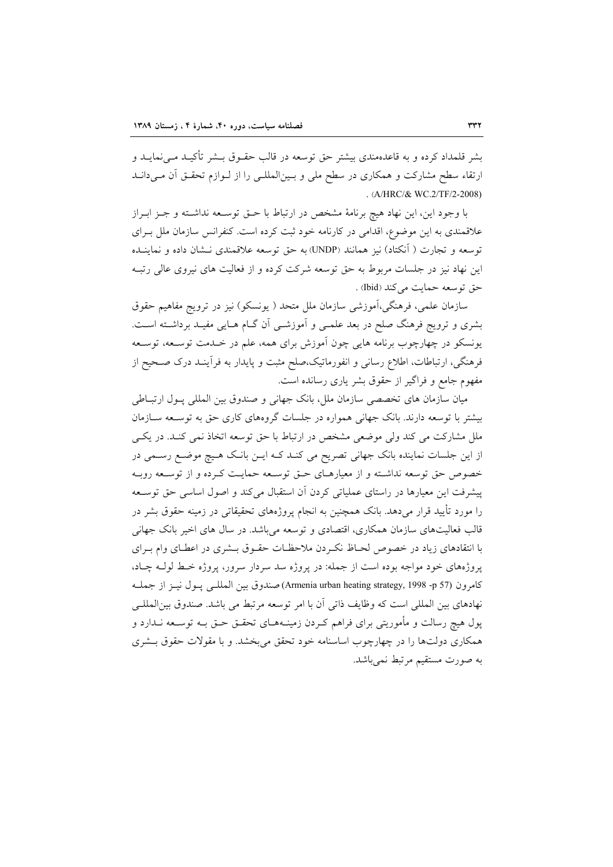بشر قلمداد کرده و به قاعدهمندی بیشتر حق توسعه در قالب حقــوق بــشر تأکیــد مــیiمایــد و ارتقاء سطح مشاركت و همكاري در سطح ملي و بـين|لمللـي را از لـوازم تحقـق آن مـيدانـد . (A/HRC/& WC.2/TF/2-2008)

با وجود اين، اين نهاد هيچ برنامهٔ مشخص در ارتباط با حـق توسـعه نداشـته و جـز ابـراز علاقمندی به این موضوع، اقدامی در کارنامه خود ثبت کرده است. کنفرانس سازمان ملل بـرای توسعه و تجارت ( آنکتاد) نیز همانند (UNDP) به حق توسعه علاقمندی نـشان داده و نماینــده این نهاد نیز در جلسات مربوط به حق توسعه شرکت کرده و از فعالیت های نیروی عالی رتبـه حق توسعه حمايت مي كند (Ibid) .

سازمان علمی، فرهنگی،آموزشی سازمان ملل متحد ( یونسکو) نیز در ترویج مفاهیم حقوق بشری و ترویج فرهنگ صلح در بعد علمـی و اَموزشـی اَن گــام هــایی مفیــد برداشــته اســت. یونسکو در چهارچوب برنامه هایی چون آموزش برای همه، علم در خـدمت توســعه، توســعه فرهنگی، ارتباطات، اطلاع رسانی و انفورماتیک،صلح مثبت و پایدار به فرآینـد درک صـحیح از مفهوم جامع و فراگیر از حقوق بشر یاری رسانده است.

میان سازمان های تخصصی سازمان ملل، بانک جهانی و صندوق بین المللی پـول ارتبـاطی بیشتر با توسعه دارند. بانک جهانی همواره در جلسات گروههای کاری حق به توسـعه سـازمان ملل مشارکت می کند ولی موضعی مشخص در ارتباط با حق توسعه اتخاذ نمی کنـد. در یکـی از این جلسات نماینده بانک جهانی تصریح می کنـد کـه ایـن بانـک هـیچ موضـع رسـمی در خصوص حق توسعه نداشـته و از معیارهـای حــق توســعه حمایــت کـرده و از توســعه روبــه پیشرفت این معیارها در راستای عملیاتی کردن آن استقبال میکند و اصول اساسی حق توسعه را مورد تأیید قرار میدهد. بانک همچنین به انجام پروژههای تحقیقاتی در زمینه حقوق بشر در قالب فعالیتهای سازمان همکاری، اقتصادی و توسعه میباشد. در سال های اخیر بانک جهانی با انتقادهای زیاد در خصوص لحـاظ نکـردن ملاحظـات حقـوق بـشری در اعطـای وام بـرای پروژههای خود مواجه بوده است از جمله: در پروژه سد سردار سرور، پروژه خـط لولـه چـاد، كامرون (57 و- Armenia urban heating strategy, 1998 -p) صندوق بين المللبي يـول نيـز از جملـه نهادهاي بين المللي است كه وظايف ذاتي آن با امر توسعه مرتبط مي باشد. صندوق بين|لمللـي پول هیچ رسالت و مأموریتی برای فراهم کـردن زمینــههــای تحقــق حــق بــه توســعه نــدارد و همکاری دولتها را در چهارچوب اساسنامه خود تحقق می بخشد. و با مقولات حقوق بـشری به صورت مستقیم مرتبط نمی باشد.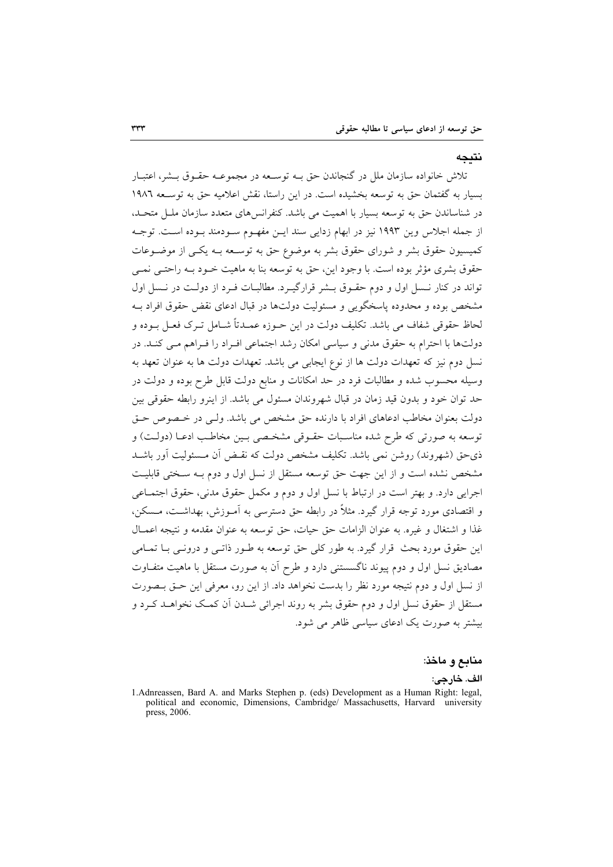نتىجە

تلاش خانواده سازمان ملل در گنجاندن حق بـه توسـعه در مجموعـه حقـوق بـشر، اعتبـار بسیار به گفتمان حق به توسعه بخشیده است. در این راستا، نقش اعلامیه حق به توسـعه ١٩٨٦ در شناساندن حق به توسعه بسیار با اهمیت می باشد. کنفرانس های متعدد سازمان ملـل متحـد، از جمله اجلاس وین ۱۹۹۳ نیز در ابهام زدایی سند ایـن مفهـوم سـودمند بـوده اسـت. توجـه کمیسیون حقوق بشر و شورای حقوق بشر به موضوع حق به توسـعه بـه یکـی از موضـوعات حقوق بشري مؤثر بوده است. با وجود اين، حق به توسعه بنا به ماهيت خـود بـه راحتـي نمـي تواند در کنار نسل اول و دوم حقوق بـشر قرارگیـرد. مطالبـات فـرد از دولـت در نـسل اول مشخص بوده و محدوده پاسخگویی و مسئولیت دولتها در قبال ادعای نقض حقوق افراد بـه لحاظ حقوقی شفاف می باشد. تکلیف دولت در این حــوزه عمــدتاً شــامل تــرک فعــل بــوده و دولتها با احترام به حقوق مدنی و سیاسی امکان رشد اجتماعی افـراد را فـراهم مـی کنـد. در نسل دوم نیز که تعهدات دولت ها از نوع ایجابی می باشد. تعهدات دولت ها به عنوان تعهد به وسیله محسوب شده و مطالبات فرد در حد امکانات و منابع دولت قابل طرح بوده و دولت در حد توان خود و بدون قید زمان در قبال شهروندان مسئول می باشد. از اینرو رابطه حقوقی بین دولت بعنوان مخاطب ادعاهای افراد با دارنده حق مشخص می باشد. ولبی در خـصوص حـق توسعه به صورتی که طرح شده مناسبات حقـوقی مشخـصی بـین مخاطـب ادعـا (دولـت) و ذي حق (شهروند) روشن نمي باشد. تكليف مشخص دولت كه نقـض آن مـسئوليت آور باشــد مشخص نشده است و از این جهت حق توسعه مستقل از نسل اول و دوم بـه سـختی قابلیـت اجرايي دارد. و بهتر است در ارتباط با نسل اول و دوم و مكمل حقوق مدني، حقوق اجتمـاعي و اقتصادی مورد توجه قرار گیرد. مثلاً در رابطه حق دسترسی به آمـوزش، بهداشـت، مــسکن. غذا و اشتغال و غيره. به عنوان الزامات حق حيات، حق توسعه به عنوان مقدمه و نتيجه اعمـال این حقوق مورد بحث قرار گیرد. به طور کلی حق توسعه به طـور ذاتـی و درونـی بــا تمــامی مصادیق نسل اول و دوم پیوند ناگسستنی دارد و طرح آن به صورت مستقل با ماهیت متفــاوت از نسل اول و دوم نتیجه مورد نظر را بدست نخواهد داد. از این رو، معرفی این حتی بیصورت مستقل از حقوق نسل اول و دوم حقوق بشر به روند اجرائی شــدن آن کمــک نخواهــد کــرد و بیشتر به صورت یک ادعای سیاسی ظاهر می شود.

منابع و ماخذ:

الف. خارجي:

<sup>1.</sup> Adnreassen, Bard A. and Marks Stephen p. (eds) Development as a Human Right: legal, political and economic, Dimensions, Cambridge/ Massachusetts, Harvard university press, 2006.